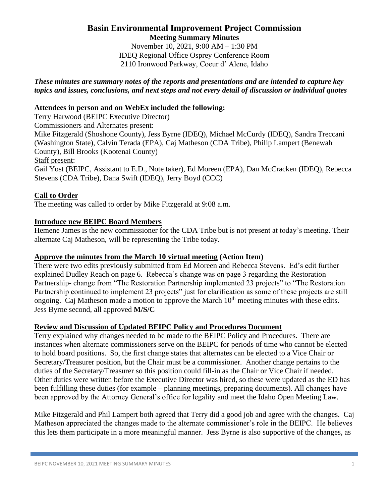## **Basin Environmental Improvement Project Commission Meeting Summary Minutes**

November 10, 2021, 9:00 AM – 1:30 PM IDEQ Regional Office Osprey Conference Room 2110 Ironwood Parkway, Coeur d' Alene, Idaho

## *These minutes are summary notes of the reports and presentations and are intended to capture key topics and issues, conclusions, and next steps and not every detail of discussion or individual quotes*

# **Attendees in person and on WebEx included the following:**

Terry Harwood (BEIPC Executive Director)

Commissioners and Alternates present:

Mike Fitzgerald (Shoshone County), Jess Byrne (IDEQ), Michael McCurdy (IDEQ), Sandra Treccani (Washington State), Calvin Terada (EPA), Caj Matheson (CDA Tribe), Philip Lampert (Benewah County), Bill Brooks (Kootenai County) Staff present: Gail Yost (BEIPC, Assistant to E.D., Note taker), Ed Moreen (EPA), Dan McCracken (IDEQ), Rebecca

Stevens (CDA Tribe), Dana Swift (IDEQ), Jerry Boyd (CCC)

# **Call to Order**

The meeting was called to order by Mike Fitzgerald at 9:08 a.m.

## **Introduce new BEIPC Board Members**

Hemene James is the new commissioner for the CDA Tribe but is not present at today's meeting. Their alternate Caj Matheson, will be representing the Tribe today.

## **Approve the minutes from the March 10 virtual meeting (Action Item)**

There were two edits previously submitted from Ed Moreen and Rebecca Stevens. Ed's edit further explained Dudley Reach on page 6. Rebecca's change was on page 3 regarding the Restoration Partnership- change from "The Restoration Partnership implemented 23 projects" to "The Restoration Partnership continued to implement 23 projects" just for clarification as some of these projects are still ongoing. Caj Matheson made a motion to approve the March 10<sup>th</sup> meeting minutes with these edits. Jess Byrne second, all approved **M/S/C**

## **Review and Discussion of Updated BEIPC Policy and Procedures Document**

Terry explained why changes needed to be made to the BEIPC Policy and Procedures. There are instances when alternate commissioners serve on the BEIPC for periods of time who cannot be elected to hold board positions. So, the first change states that alternates can be elected to a Vice Chair or Secretary/Treasurer position, but the Chair must be a commissioner. Another change pertains to the duties of the Secretary/Treasurer so this position could fill-in as the Chair or Vice Chair if needed. Other duties were written before the Executive Director was hired, so these were updated as the ED has been fulfilling these duties (for example – planning meetings, preparing documents). All changes have been approved by the Attorney General's office for legality and meet the Idaho Open Meeting Law.

Mike Fitzgerald and Phil Lampert both agreed that Terry did a good job and agree with the changes. Caj Matheson appreciated the changes made to the alternate commissioner's role in the BEIPC. He believes this lets them participate in a more meaningful manner. Jess Byrne is also supportive of the changes, as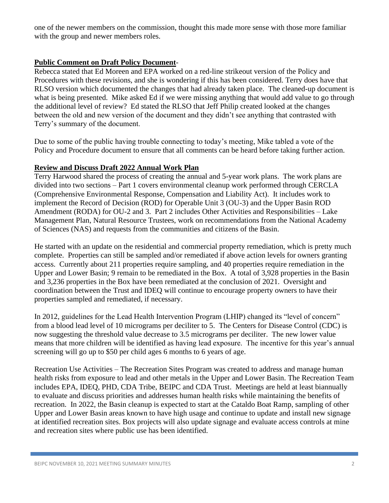one of the newer members on the commission, thought this made more sense with those more familiar with the group and newer members roles.

## **Public Comment on Draft Policy Document**-

Rebecca stated that Ed Moreen and EPA worked on a red-line strikeout version of the Policy and Procedures with these revisions, and she is wondering if this has been considered. Terry does have that RLSO version which documented the changes that had already taken place. The cleaned-up document is what is being presented. Mike asked Ed if we were missing anything that would add value to go through the additional level of review? Ed stated the RLSO that Jeff Philip created looked at the changes between the old and new version of the document and they didn't see anything that contrasted with Terry's summary of the document.

Due to some of the public having trouble connecting to today's meeting, Mike tabled a vote of the Policy and Procedure document to ensure that all comments can be heard before taking further action.

# **Review and Discuss Draft 2022 Annual Work Plan**

Terry Harwood shared the process of creating the annual and 5-year work plans. The work plans are divided into two sections – Part 1 covers environmental cleanup work performed through CERCLA (Comprehensive Environmental Response, Compensation and Liability Act). It includes work to implement the Record of Decision (ROD) for Operable Unit 3 (OU-3) and the Upper Basin ROD Amendment (RODA) for OU-2 and 3. Part 2 includes Other Activities and Responsibilities – Lake Management Plan, Natural Resource Trustees, work on recommendations from the National Academy of Sciences (NAS) and requests from the communities and citizens of the Basin.

He started with an update on the residential and commercial property remediation, which is pretty much complete. Properties can still be sampled and/or remediated if above action levels for owners granting access. Currently about 211 properties require sampling, and 40 properties require remediation in the Upper and Lower Basin; 9 remain to be remediated in the Box. A total of 3,928 properties in the Basin and 3,236 properties in the Box have been remediated at the conclusion of 2021. Oversight and coordination between the Trust and IDEQ will continue to encourage property owners to have their properties sampled and remediated, if necessary.

In 2012, guidelines for the Lead Health Intervention Program (LHIP) changed its "level of concern" from a blood lead level of 10 micrograms per deciliter to 5. The Centers for Disease Control (CDC) is now suggesting the threshold value decrease to 3.5 micrograms per deciliter. The new lower value means that more children will be identified as having lead exposure. The incentive for this year's annual screening will go up to \$50 per child ages 6 months to 6 years of age.

Recreation Use Activities – The Recreation Sites Program was created to address and manage human health risks from exposure to lead and other metals in the Upper and Lower Basin. The Recreation Team includes EPA, IDEQ, PHD, CDA Tribe, BEIPC and CDA Trust. Meetings are held at least biannually to evaluate and discuss priorities and addresses human health risks while maintaining the benefits of recreation. In 2022, the Basin cleanup is expected to start at the Cataldo Boat Ramp, sampling of other Upper and Lower Basin areas known to have high usage and continue to update and install new signage at identified recreation sites. Box projects will also update signage and evaluate access controls at mine and recreation sites where public use has been identified.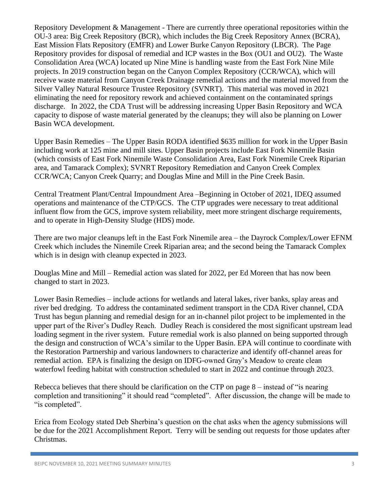Repository Development & Management - There are currently three operational repositories within the OU-3 area: Big Creek Repository (BCR), which includes the Big Creek Repository Annex (BCRA), East Mission Flats Repository (EMFR) and Lower Burke Canyon Repository (LBCR). The Page Repository provides for disposal of remedial and ICP wastes in the Box (OU1 and OU2). The Waste Consolidation Area (WCA) located up Nine Mine is handling waste from the East Fork Nine Mile projects. In 2019 construction began on the Canyon Complex Repository (CCR/WCA), which will receive waste material from Canyon Creek Drainage remedial actions and the material moved from the Silver Valley Natural Resource Trustee Repository (SVNRT). This material was moved in 2021 eliminating the need for repository rework and achieved containment on the contaminated springs discharge. In 2022, the CDA Trust will be addressing increasing Upper Basin Repository and WCA capacity to dispose of waste material generated by the cleanups; they will also be planning on Lower Basin WCA development.

Upper Basin Remedies – The Upper Basin RODA identified \$635 million for work in the Upper Basin including work at 125 mine and mill sites. Upper Basin projects include East Fork Ninemile Basin (which consists of East Fork Ninemile Waste Consolidation Area, East Fork Ninemile Creek Riparian area, and Tamarack Complex); SVNRT Repository Remediation and Canyon Creek Complex CCR/WCA; Canyon Creek Quarry; and Douglas Mine and Mill in the Pine Creek Basin.

Central Treatment Plant/Central Impoundment Area –Beginning in October of 2021, IDEQ assumed operations and maintenance of the CTP/GCS. The CTP upgrades were necessary to treat additional influent flow from the GCS, improve system reliability, meet more stringent discharge requirements, and to operate in High-Density Sludge (HDS) mode.

There are two major cleanups left in the East Fork Ninemile area – the Dayrock Complex/Lower EFNM Creek which includes the Ninemile Creek Riparian area; and the second being the Tamarack Complex which is in design with cleanup expected in 2023.

Douglas Mine and Mill – Remedial action was slated for 2022, per Ed Moreen that has now been changed to start in 2023.

Lower Basin Remedies – include actions for wetlands and lateral lakes, river banks, splay areas and river bed dredging. To address the contaminated sediment transport in the CDA River channel, CDA Trust has begun planning and remedial design for an in-channel pilot project to be implemented in the upper part of the River's Dudley Reach. Dudley Reach is considered the most significant upstream lead loading segment in the river system. Future remedial work is also planned on being supported through the design and construction of WCA's similar to the Upper Basin. EPA will continue to coordinate with the Restoration Partnership and various landowners to characterize and identify off-channel areas for remedial action. EPA is finalizing the design on IDFG-owned Gray's Meadow to create clean waterfowl feeding habitat with construction scheduled to start in 2022 and continue through 2023.

Rebecca believes that there should be clarification on the CTP on page 8 – instead of "is nearing completion and transitioning" it should read "completed". After discussion, the change will be made to "is completed".

Erica from Ecology stated Deb Sherbina's question on the chat asks when the agency submissions will be due for the 2021 Accomplishment Report. Terry will be sending out requests for those updates after Christmas.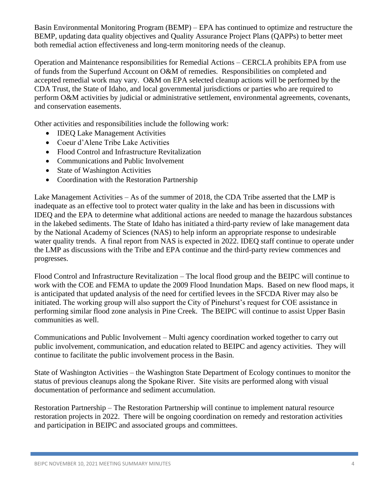Basin Environmental Monitoring Program (BEMP) – EPA has continued to optimize and restructure the BEMP, updating data quality objectives and Quality Assurance Project Plans (QAPPs) to better meet both remedial action effectiveness and long-term monitoring needs of the cleanup.

Operation and Maintenance responsibilities for Remedial Actions – CERCLA prohibits EPA from use of funds from the Superfund Account on O&M of remedies. Responsibilities on completed and accepted remedial work may vary. O&M on EPA selected cleanup actions will be performed by the CDA Trust, the State of Idaho, and local governmental jurisdictions or parties who are required to perform O&M activities by judicial or administrative settlement, environmental agreements, covenants, and conservation easements.

Other activities and responsibilities include the following work:

- IDEQ Lake Management Activities
- Coeur d'Alene Tribe Lake Activities
- Flood Control and Infrastructure Revitalization
- Communications and Public Involvement
- State of Washington Activities
- Coordination with the Restoration Partnership

Lake Management Activities – As of the summer of 2018, the CDA Tribe asserted that the LMP is inadequate as an effective tool to protect water quality in the lake and has been in discussions with IDEQ and the EPA to determine what additional actions are needed to manage the hazardous substances in the lakebed sediments. The State of Idaho has initiated a third-party review of lake management data by the National Academy of Sciences (NAS) to help inform an appropriate response to undesirable water quality trends. A final report from NAS is expected in 2022. IDEQ staff continue to operate under the LMP as discussions with the Tribe and EPA continue and the third-party review commences and progresses.

Flood Control and Infrastructure Revitalization – The local flood group and the BEIPC will continue to work with the COE and FEMA to update the 2009 Flood Inundation Maps. Based on new flood maps, it is anticipated that updated analysis of the need for certified levees in the SFCDA River may also be initiated. The working group will also support the City of Pinehurst's request for COE assistance in performing similar flood zone analysis in Pine Creek. The BEIPC will continue to assist Upper Basin communities as well.

Communications and Public Involvement – Multi agency coordination worked together to carry out public involvement, communication, and education related to BEIPC and agency activities. They will continue to facilitate the public involvement process in the Basin.

State of Washington Activities – the Washington State Department of Ecology continues to monitor the status of previous cleanups along the Spokane River. Site visits are performed along with visual documentation of performance and sediment accumulation.

Restoration Partnership – The Restoration Partnership will continue to implement natural resource restoration projects in 2022. There will be ongoing coordination on remedy and restoration activities and participation in BEIPC and associated groups and committees.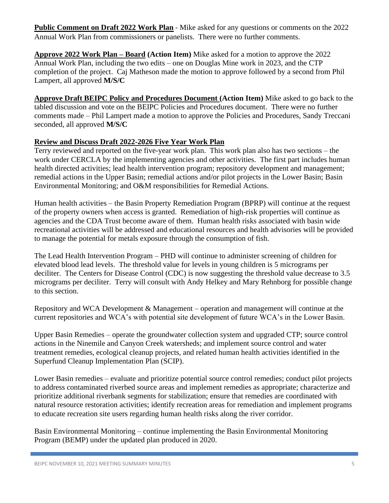**Public Comment on Draft 2022 Work Plan** - Mike asked for any questions or comments on the 2022 Annual Work Plan from commissioners or panelists. There were no further comments.

**Approve 2022 Work Plan – Board (Action Item)** Mike asked for a motion to approve the 2022 Annual Work Plan, including the two edits – one on Douglas Mine work in 2023, and the CTP completion of the project. Caj Matheson made the motion to approve followed by a second from Phil Lampert, all approved **M/S/C**

**Approve Draft BEIPC Policy and Procedures Document (Action Item)** Mike asked to go back to the tabled discussion and vote on the BEIPC Policies and Procedures document. There were no further comments made – Phil Lampert made a motion to approve the Policies and Procedures, Sandy Treccani seconded, all approved **M/S/C**

## **Review and Discuss Draft 2022-2026 Five Year Work Plan**

Terry reviewed and reported on the five-year work plan. This work plan also has two sections – the work under CERCLA by the implementing agencies and other activities. The first part includes human health directed activities; lead health intervention program; repository development and management; remedial actions in the Upper Basin; remedial actions and/or pilot projects in the Lower Basin; Basin Environmental Monitoring; and O&M responsibilities for Remedial Actions.

Human health activities – the Basin Property Remediation Program (BPRP) will continue at the request of the property owners when access is granted. Remediation of high-risk properties will continue as agencies and the CDA Trust become aware of them. Human health risks associated with basin wide recreational activities will be addressed and educational resources and health advisories will be provided to manage the potential for metals exposure through the consumption of fish.

The Lead Health Intervention Program – PHD will continue to administer screening of children for elevated blood lead levels. The threshold value for levels in young children is 5 micrograms per deciliter. The Centers for Disease Control (CDC) is now suggesting the threshold value decrease to 3.5 micrograms per deciliter. Terry will consult with Andy Helkey and Mary Rehnborg for possible change to this section.

Repository and WCA Development & Management – operation and management will continue at the current repositories and WCA's with potential site development of future WCA's in the Lower Basin.

Upper Basin Remedies – operate the groundwater collection system and upgraded CTP; source control actions in the Ninemile and Canyon Creek watersheds; and implement source control and water treatment remedies, ecological cleanup projects, and related human health activities identified in the Superfund Cleanup Implementation Plan (SCIP).

Lower Basin remedies – evaluate and prioritize potential source control remedies; conduct pilot projects to address contaminated riverbed source areas and implement remedies as appropriate; characterize and prioritize additional riverbank segments for stabilization; ensure that remedies are coordinated with natural resource restoration activities; identify recreation areas for remediation and implement programs to educate recreation site users regarding human health risks along the river corridor.

Basin Environmental Monitoring – continue implementing the Basin Environmental Monitoring Program (BEMP) under the updated plan produced in 2020.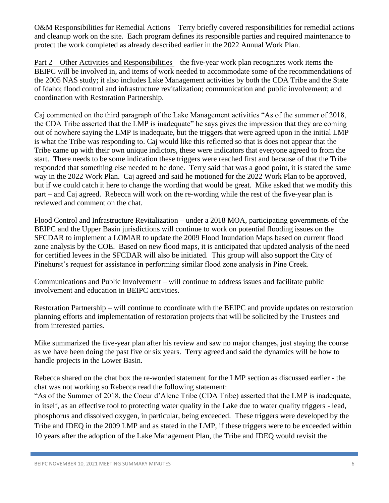O&M Responsibilities for Remedial Actions – Terry briefly covered responsibilities for remedial actions and cleanup work on the site. Each program defines its responsible parties and required maintenance to protect the work completed as already described earlier in the 2022 Annual Work Plan.

Part 2 – Other Activities and Responsibilities – the five-year work plan recognizes work items the BEIPC will be involved in, and items of work needed to accommodate some of the recommendations of the 2005 NAS study; it also includes Lake Management activities by both the CDA Tribe and the State of Idaho; flood control and infrastructure revitalization; communication and public involvement; and coordination with Restoration Partnership.

Caj commented on the third paragraph of the Lake Management activities "As of the summer of 2018, the CDA Tribe asserted that the LMP is inadequate" he says gives the impression that they are coming out of nowhere saying the LMP is inadequate, but the triggers that were agreed upon in the initial LMP is what the Tribe was responding to. Caj would like this reflected so that is does not appear that the Tribe came up with their own unique indictors, these were indicators that everyone agreed to from the start. There needs to be some indication these triggers were reached first and because of that the Tribe responded that something else needed to be done. Terry said that was a good point, it is stated the same way in the 2022 Work Plan. Caj agreed and said he motioned for the 2022 Work Plan to be approved, but if we could catch it here to change the wording that would be great. Mike asked that we modify this part – and Caj agreed. Rebecca will work on the re-wording while the rest of the five-year plan is reviewed and comment on the chat.

Flood Control and Infrastructure Revitalization – under a 2018 MOA, participating governments of the BEIPC and the Upper Basin jurisdictions will continue to work on potential flooding issues on the SFCDAR to implement a LOMAR to update the 2009 Flood Inundation Maps based on current flood zone analysis by the COE. Based on new flood maps, it is anticipated that updated analysis of the need for certified levees in the SFCDAR will also be initiated. This group will also support the City of Pinehurst's request for assistance in performing similar flood zone analysis in Pine Creek.

Communications and Public Involvement – will continue to address issues and facilitate public involvement and education in BEIPC activities.

Restoration Partnership – will continue to coordinate with the BEIPC and provide updates on restoration planning efforts and implementation of restoration projects that will be solicited by the Trustees and from interested parties.

Mike summarized the five-year plan after his review and saw no major changes, just staying the course as we have been doing the past five or six years. Terry agreed and said the dynamics will be how to handle projects in the Lower Basin.

Rebecca shared on the chat box the re-worded statement for the LMP section as discussed earlier - the chat was not working so Rebecca read the following statement:

"As of the Summer of 2018, the Coeur d'Alene Tribe (CDA Tribe) asserted that the LMP is inadequate, in itself, as an effective tool to protecting water quality in the Lake due to water quality triggers - lead, phosphorus and dissolved oxygen, in particular, being exceeded. These triggers were developed by the Tribe and IDEQ in the 2009 LMP and as stated in the LMP, if these triggers were to be exceeded within 10 years after the adoption of the Lake Management Plan, the Tribe and IDEQ would revisit the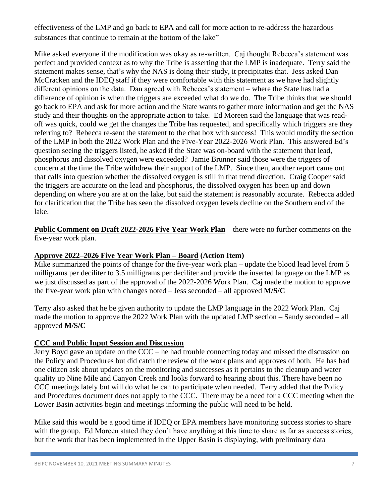effectiveness of the LMP and go back to EPA and call for more action to re-address the hazardous substances that continue to remain at the bottom of the lake"

Mike asked everyone if the modification was okay as re-written. Caj thought Rebecca's statement was perfect and provided context as to why the Tribe is asserting that the LMP is inadequate. Terry said the statement makes sense, that's why the NAS is doing their study, it precipitates that. Jess asked Dan McCracken and the IDEQ staff if they were comfortable with this statement as we have had slightly different opinions on the data. Dan agreed with Rebecca's statement – where the State has had a difference of opinion is when the triggers are exceeded what do we do. The Tribe thinks that we should go back to EPA and ask for more action and the State wants to gather more information and get the NAS study and their thoughts on the appropriate action to take. Ed Moreen said the language that was readoff was quick, could we get the changes the Tribe has requested, and specifically which triggers are they referring to? Rebecca re-sent the statement to the chat box with success! This would modify the section of the LMP in both the 2022 Work Plan and the Five-Year 2022-2026 Work Plan. This answered Ed's question seeing the triggers listed, he asked if the State was on-board with the statement that lead, phosphorus and dissolved oxygen were exceeded? Jamie Brunner said those were the triggers of concern at the time the Tribe withdrew their support of the LMP. Since then, another report came out that calls into question whether the dissolved oxygen is still in that trend direction. Craig Cooper said the triggers are accurate on the lead and phosphorus, the dissolved oxygen has been up and down depending on where you are at on the lake, but said the statement is reasonably accurate. Rebecca added for clarification that the Tribe has seen the dissolved oxygen levels decline on the Southern end of the lake.

**Public Comment on Draft 2022-2026 Five Year Work Plan** – there were no further comments on the five-year work plan.

#### **Approve 2022–2026 Five Year Work Plan – Board (Action Item)**

Mike summarized the points of change for the five-year work plan – update the blood lead level from 5 milligrams per deciliter to 3.5 milligrams per deciliter and provide the inserted language on the LMP as we just discussed as part of the approval of the 2022-2026 Work Plan. Caj made the motion to approve the five-year work plan with changes noted – Jess seconded – all approved **M/S/C**

Terry also asked that he be given authority to update the LMP language in the 2022 Work Plan. Caj made the motion to approve the 2022 Work Plan with the updated LMP section – Sandy seconded – all approved **M/S/C**

## **CCC and Public Input Session and Discussion**

Jerry Boyd gave an update on the CCC – he had trouble connecting today and missed the discussion on the Policy and Procedures but did catch the review of the work plans and approves of both. He has had one citizen ask about updates on the monitoring and successes as it pertains to the cleanup and water quality up Nine Mile and Canyon Creek and looks forward to hearing about this. There have been no CCC meetings lately but will do what he can to participate when needed. Terry added that the Policy and Procedures document does not apply to the CCC. There may be a need for a CCC meeting when the Lower Basin activities begin and meetings informing the public will need to be held.

Mike said this would be a good time if IDEQ or EPA members have monitoring success stories to share with the group. Ed Moreen stated they don't have anything at this time to share as far as success stories, but the work that has been implemented in the Upper Basin is displaying, with preliminary data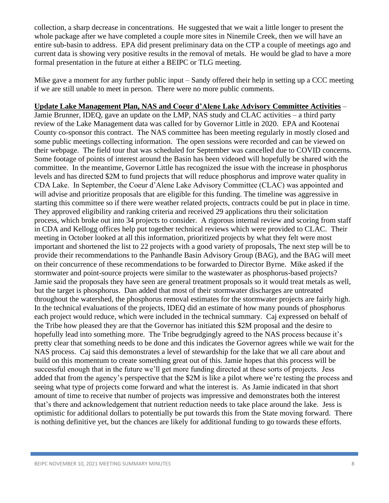collection, a sharp decrease in concentrations. He suggested that we wait a little longer to present the whole package after we have completed a couple more sites in Ninemile Creek, then we will have an entire sub-basin to address. EPA did present preliminary data on the CTP a couple of meetings ago and current data is showing very positive results in the removal of metals. He would be glad to have a more formal presentation in the future at either a BEIPC or TLG meeting.

Mike gave a moment for any further public input – Sandy offered their help in setting up a CCC meeting if we are still unable to meet in person. There were no more public comments.

## **Update Lake Management Plan, NAS and Coeur d'Alene Lake Advisory Committee Activities** –

Jamie Brunner, IDEQ, gave an update on the LMP, NAS study and CLAC activities – a third party review of the Lake Management data was called for by Governor Little in 2020. EPA and Kootenai County co-sponsor this contract. The NAS committee has been meeting regularly in mostly closed and some public meetings collecting information. The open sessions were recorded and can be viewed on their webpage. The field tour that was scheduled for September was cancelled due to COVID concerns. Some footage of points of interest around the Basin has been videoed will hopefully be shared with the committee. In the meantime, Governor Little has recognized the issue with the increase in phosphorus levels and has directed \$2M to fund projects that will reduce phosphorus and improve water quality in CDA Lake. In September, the Coeur d'Alene Lake Advisory Committee (CLAC) was appointed and will advise and prioritize proposals that are eligible for this funding. The timeline was aggressive in starting this committee so if there were weather related projects, contracts could be put in place in time. They approved eligibility and ranking criteria and received 29 applications thru their solicitation process, which broke out into 34 projects to consider. A rigorous internal review and scoring from staff in CDA and Kellogg offices help put together technical reviews which were provided to CLAC. Their meeting in October looked at all this information, prioritized projects by what they felt were most important and shortened the list to 22 projects with a good variety of proposals, The next step will be to provide their recommendations to the Panhandle Basin Advisory Group (BAG), and the BAG will meet on their concurrence of these recommendations to be forwarded to Director Byrne. Mike asked if the stormwater and point-source projects were similar to the wastewater as phosphorus-based projects? Jamie said the proposals they have seen are general treatment proposals so it would treat metals as well, but the target is phosphorus. Dan added that most of their stormwater discharges are untreated throughout the watershed, the phosphorus removal estimates for the stormwater projects are fairly high. In the technical evaluations of the projects, IDEQ did an estimate of how many pounds of phosphorus each project would reduce, which were included in the technical summary. Caj expressed on behalf of the Tribe how pleased they are that the Governor has initiated this \$2M proposal and the desire to hopefully lead into something more. The Tribe begrudgingly agreed to the NAS process because it's pretty clear that something needs to be done and this indicates the Governor agrees while we wait for the NAS process. Caj said this demonstrates a level of stewardship for the lake that we all care about and build on this momentum to create something great out of this. Jamie hopes that this process will be successful enough that in the future we'll get more funding directed at these sorts of projects. Jess added that from the agency's perspective that the \$2M is like a pilot where we're testing the process and seeing what type of projects come forward and what the interest is. As Jamie indicated in that short amount of time to receive that number of projects was impressive and demonstrates both the interest that's there and acknowledgement that nutrient reduction needs to take place around the lake. Jess is optimistic for additional dollars to potentially be put towards this from the State moving forward. There is nothing definitive yet, but the chances are likely for additional funding to go towards these efforts.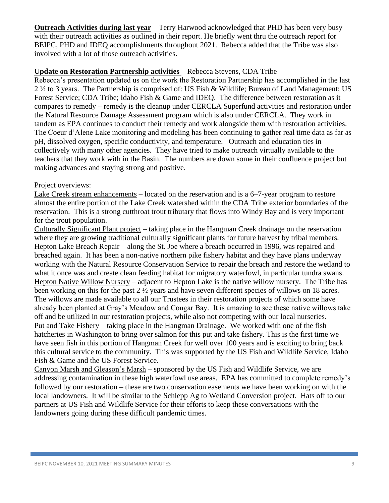**Outreach Activities during last year** – Terry Harwood acknowledged that PHD has been very busy with their outreach activities as outlined in their report. He briefly went thru the outreach report for BEIPC, PHD and IDEQ accomplishments throughout 2021. Rebecca added that the Tribe was also involved with a lot of those outreach activities.

## **Update on Restoration Partnership activities** – Rebecca Stevens, CDA Tribe

Rebecca's presentation updated us on the work the Restoration Partnership has accomplished in the last 2 ½ to 3 years. The Partnership is comprised of: US Fish & Wildlife; Bureau of Land Management; US Forest Service; CDA Tribe; Idaho Fish & Game and IDEQ. The difference between restoration as it compares to remedy – remedy is the cleanup under CERCLA Superfund activities and restoration under the Natural Resource Damage Assessment program which is also under CERCLA. They work in tandem as EPA continues to conduct their remedy and work alongside them with restoration activities. The Coeur d'Alene Lake monitoring and modeling has been continuing to gather real time data as far as pH, dissolved oxygen, specific conductivity, and temperature. Outreach and education ties in collectively with many other agencies. They have tried to make outreach virtually available to the teachers that they work with in the Basin. The numbers are down some in their confluence project but making advances and staying strong and positive.

### Project overviews:

Lake Creek stream enhancements – located on the reservation and is a 6–7-year program to restore almost the entire portion of the Lake Creek watershed within the CDA Tribe exterior boundaries of the reservation. This is a strong cutthroat trout tributary that flows into Windy Bay and is very important for the trout population.

Culturally Significant Plant project – taking place in the Hangman Creek drainage on the reservation where they are growing traditional culturally significant plants for future harvest by tribal members. Hepton Lake Breach Repair – along the St. Joe where a breach occurred in 1996, was repaired and breached again. It has been a non-native northern pike fishery habitat and they have plans underway working with the Natural Resource Conservation Service to repair the breach and restore the wetland to what it once was and create clean feeding habitat for migratory waterfowl, in particular tundra swans. Hepton Native Willow Nursery – adjacent to Hepton Lake is the native willow nursery. The Tribe has been working on this for the past 2 ½ years and have seven different species of willows on 18 acres. The willows are made available to all our Trustees in their restoration projects of which some have already been planted at Gray's Meadow and Cougar Bay. It is amazing to see these native willows take off and be utilized in our restoration projects, while also not competing with our local nurseries. Put and Take Fishery – taking place in the Hangman Drainage. We worked with one of the fish hatcheries in Washington to bring over salmon for this put and take fishery. This is the first time we have seen fish in this portion of Hangman Creek for well over 100 years and is exciting to bring back this cultural service to the community. This was supported by the US Fish and Wildlife Service, Idaho Fish & Game and the US Forest Service.

Canyon Marsh and Gleason's Marsh – sponsored by the US Fish and Wildlife Service, we are addressing contamination in these high waterfowl use areas. EPA has committed to complete remedy's followed by our restoration – these are two conservation easements we have been working on with the local landowners. It will be similar to the Schlepp Ag to Wetland Conversion project. Hats off to our partners at US Fish and Wildlife Service for their efforts to keep these conversations with the landowners going during these difficult pandemic times.